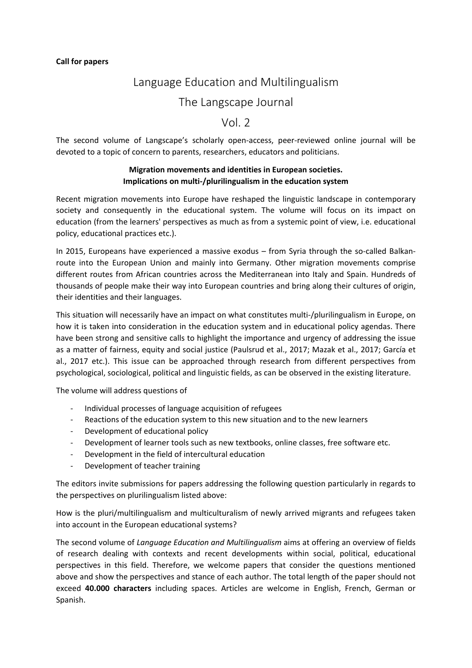# Language Education and Multilingualism

## The Langscape Journal

## Vol. 2

The second volume of Langscape's scholarly open-access, peer-reviewed online journal will be devoted to a topic of concern to parents, researchers, educators and politicians.

#### **Migration movements and identities in European societies. Implications on multi-/plurilingualism in the education system**

Recent migration movements into Europe have reshaped the linguistic landscape in contemporary society and consequently in the educational system. The volume will focus on its impact on education (from the learners' perspectives as much as from a systemic point of view, i.e. educational policy, educational practices etc.).

In 2015, Europeans have experienced a massive exodus – from Syria through the so-called Balkanroute into the European Union and mainly into Germany. Other migration movements comprise different routes from African countries across the Mediterranean into Italy and Spain. Hundreds of thousands of people make their way into European countries and bring along their cultures of origin, their identities and their languages.

This situation will necessarily have an impact on what constitutes multi-/plurilingualism in Europe, on how it is taken into consideration in the education system and in educational policy agendas. There have been strong and sensitive calls to highlight the importance and urgency of addressing the issue as a matter of fairness, equity and social justice (Paulsrud et al., 2017; Mazak et al., 2017; García et al., 2017 etc.). This issue can be approached through research from different perspectives from psychological, sociological, political and linguistic fields, as can be observed in the existing literature.

The volume will address questions of

- Individual processes of language acquisition of refugees
- Reactions of the education system to this new situation and to the new learners
- Development of educational policy
- Development of learner tools such as new textbooks, online classes, free software etc.
- Development in the field of intercultural education
- Development of teacher training

The editors invite submissions for papers addressing the following question particularly in regards to the perspectives on plurilingualism listed above:

How is the pluri/multilingualism and multiculturalism of newly arrived migrants and refugees taken into account in the European educational systems?

The second volume of *Language Education and Multilingualism* aims at offering an overview of fields of research dealing with contexts and recent developments within social, political, educational perspectives in this field. Therefore, we welcome papers that consider the questions mentioned above and show the perspectives and stance of each author. The total length of the paper should not exceed **40.000 characters** including spaces. Articles are welcome in English, French, German or Spanish.